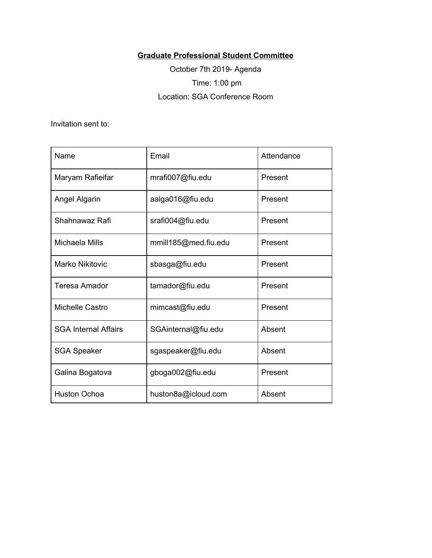## **Graduate Professional Student Committee**

October 7th 2019- Agenda Time: 1:00 pm Location: SGA Conference Room

Invitation sent to:

| Name                        | Email                | Attendance |
|-----------------------------|----------------------|------------|
| Maryam Rafieifar            | mrafi007@fiu.edu     | Present    |
| <b>Angel Algarin</b>        | aalga016@fiu.edu     | Present    |
| Shahnawaz Rafi              | srafi004@fiu.edu     | Present    |
| Michaela Mills              | mmill185@med.fiu.edu | Present    |
| <b>Marko Nikitovic</b>      | sbasga@fiu.edu       | Present    |
| <b>Teresa Amador</b>        | tamador@fiu.edu      | Present    |
| Michelle Castro             | mimcast@fiu.edu      | Present    |
| <b>SGA Internal Affairs</b> | SGAinternal@fiu.edu  | Absent     |
| <b>SGA Speaker</b>          | sgaspeaker@fiu.edu   | Absent     |
| Galina Bogatova             | gboga002@fiu.edu     | Present    |
| <b>Huston Ochoa</b>         | huston8a@icloud.com  | Absent     |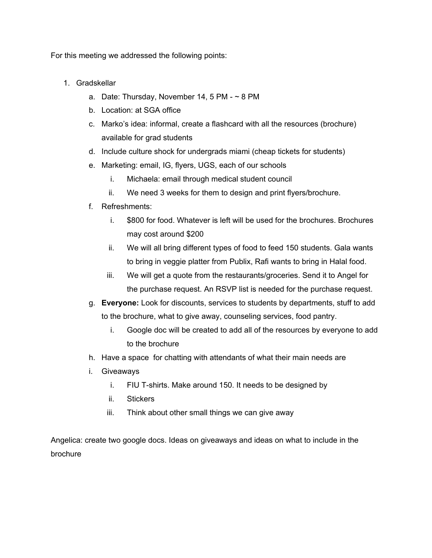For this meeting we addressed the following points:

- 1. Gradskellar
	- a. Date: Thursday, November 14, 5 PM  $\sim$  8 PM
	- b. Location: at SGA office
	- c. Marko's idea: informal, create a flashcard with all the resources (brochure) available for grad students
	- d. Include culture shock for undergrads miami (cheap tickets for students)
	- e. Marketing: email, IG, flyers, UGS, each of our schools
		- i. Michaela: email through medical student council
		- ii. We need 3 weeks for them to design and print flyers/brochure.
	- f. Refreshments:
		- i. \$800 for food. Whatever is left will be used for the brochures. Brochures may cost around \$200
		- ii. We will all bring different types of food to feed 150 students. Gala wants to bring in veggie platter from Publix, Rafi wants to bring in Halal food.
		- iii. We will get a quote from the restaurants/groceries. Send it to Angel for the purchase request. An RSVP list is needed for the purchase request.
	- g. **Everyone:** Look for discounts, services to students by departments, stuff to add to the brochure, what to give away, counseling services, food pantry.
		- i. Google doc will be created to add all of the resources by everyone to add to the brochure
	- h. Have a space for chatting with attendants of what their main needs are
	- i. Giveaways
		- i. FIU T-shirts. Make around 150. It needs to be designed by
		- ii. Stickers
		- iii. Think about other small things we can give away

Angelica: create two google docs. Ideas on giveaways and ideas on what to include in the brochure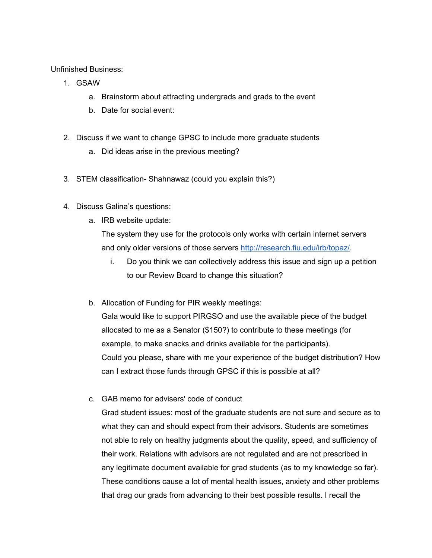Unfinished Business:

- 1. GSAW
	- a. Brainstorm about attracting undergrads and grads to the event
	- b. Date for social event:
- 2. Discuss if we want to change GPSC to include more graduate students
	- a. Did ideas arise in the previous meeting?
- 3. STEM classification- Shahnawaz (could you explain this?)
- 4. Discuss Galina's questions:
	- a. IRB website update:

The system they use for the protocols only works with certain internet servers and only older versions of those servers [http://research.fiu.edu/irb/topaz/.](http://research.fiu.edu/irb/topaz/)

- i. Do you think we can collectively address this issue and sign up a petition to our Review Board to change this situation?
- b. Allocation of Funding for PIR weekly meetings:

Gala would like to support PIRGSO and use the available piece of the budget allocated to me as a Senator (\$150?) to contribute to these meetings (for example, to make snacks and drinks available for the participants). Could you please, share with me your experience of the budget distribution? How can I extract those funds through GPSC if this is possible at all?

c. GAB memo for advisers' code of conduct

Grad student issues: most of the graduate students are not sure and secure as to what they can and should expect from their advisors. Students are sometimes not able to rely on healthy judgments about the quality, speed, and sufficiency of their work. Relations with advisors are not regulated and are not prescribed in any legitimate document available for grad students (as to my knowledge so far). These conditions cause a lot of mental health issues, anxiety and other problems that drag our grads from advancing to their best possible results. I recall the